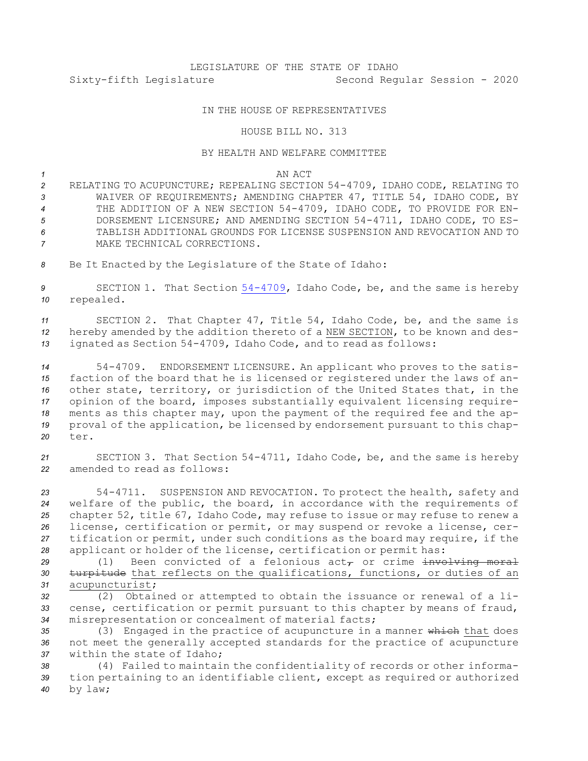## IN THE HOUSE OF REPRESENTATIVES

## HOUSE BILL NO. 313

## BY HEALTH AND WELFARE COMMITTEE

*1* AN ACT

 RELATING TO ACUPUNCTURE; REPEALING SECTION 54-4709, IDAHO CODE, RELATING TO WAIVER OF REQUIREMENTS; AMENDING CHAPTER 47, TITLE 54, IDAHO CODE, BY THE ADDITION OF A NEW SECTION 54-4709, IDAHO CODE, TO PROVIDE FOR EN- DORSEMENT LICENSURE; AND AMENDING SECTION 54-4711, IDAHO CODE, TO ES- TABLISH ADDITIONAL GROUNDS FOR LICENSE SUSPENSION AND REVOCATION AND TO MAKE TECHNICAL CORRECTIONS.

8 Be It Enacted by the Legislature of the State of Idaho:

*<sup>9</sup>* SECTION 1. That Section [54-4709](https://legislature.idaho.gov/statutesrules/idstat/Title54/T54CH47/SECT54-4709), Idaho Code, be, and the same is hereby *<sup>10</sup>* repealed.

*<sup>11</sup>* SECTION 2. That Chapter 47, Title 54, Idaho Code, be, and the same is *<sup>12</sup>* hereby amended by the addition thereto of <sup>a</sup> NEW SECTION, to be known and des-*<sup>13</sup>* ignated as Section 54-4709, Idaho Code, and to read as follows:

 54-4709. ENDORSEMENT LICENSURE. An applicant who proves to the satis- faction of the board that he is licensed or registered under the laws of an- other state, territory, or jurisdiction of the United States that, in the opinion of the board, imposes substantially equivalent licensing require- ments as this chapter may, upon the payment of the required fee and the ap- proval of the application, be licensed by endorsement pursuant to this chap-*20* ter.

*<sup>21</sup>* SECTION 3. That Section 54-4711, Idaho Code, be, and the same is hereby *22* amended to read as follows:

 54-4711. SUSPENSION AND REVOCATION. To protect the health, safety and welfare of the public, the board, in accordance with the requirements of chapter 52, title 67, Idaho Code, may refuse to issue or may refuse to renew <sup>a</sup> license, certification or permit, or may suspend or revoke <sup>a</sup> license, cer- tification or permit, under such conditions as the board may require, if the applicant or holder of the license, certification or permit has:

29  $(1)$  Been convicted of a felonious  $act<sub>\tau</sub>$  or crime  $involution$  moral *<sup>30</sup>* turpitude that reflects on the qualifications, functions, or duties of an *<sup>31</sup>* acupuncturist;

*<sup>32</sup>* (2) Obtained or attempted to obtain the issuance or renewal of <sup>a</sup> li-*<sup>33</sup>* cense, certification or permit pursuant to this chapter by means of fraud, *<sup>34</sup>* misrepresentation or concealment of material facts;

35 (3) Engaged in the practice of acupuncture in a manner which that does *<sup>36</sup>* not meet the generally accepted standards for the practice of acupuncture *37* within the state of Idaho;

*<sup>38</sup>* (4) Failed to maintain the confidentiality of records or other informa-*<sup>39</sup>* tion pertaining to an identifiable client, except as required or authorized *<sup>40</sup>* by law;